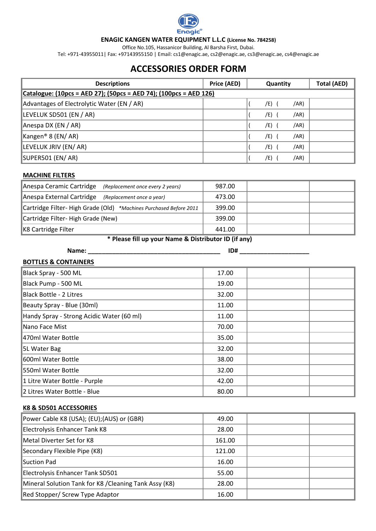

#### **ENAGIC KANGEN WATER EQUIPMENT L.L.C (License No. 784258)**

Office No.105, Hassanicor Building, Al Barsha First, Dubai.

Tel: +971-43955011| Fax: +97143955150 | Email: cs1@enagic.ae, cs2@enagic.ae, cs3@enagic.ae, cs4@enagic.ae

# **ACCESSORIES ORDER FORM**

| <b>Descriptions</b>                                               | Price (AED) | <b>Quantity</b> |     |      | <b>Total (AED)</b> |  |
|-------------------------------------------------------------------|-------------|-----------------|-----|------|--------------------|--|
| Catalogue: (10pcs = AED 27); (50pcs = AED 74); (100pcs = AED 126) |             |                 |     |      |                    |  |
| Advantages of Electrolytic Water (EN / AR)                        |             |                 | /E) | /AR) |                    |  |
| LEVELUK SD501 (EN / AR)                                           |             |                 | /E) | /AR) |                    |  |
| Anespa DX (EN / AR)                                               |             |                 | /E) | /AR) |                    |  |
| $\vert$ Kangen® 8 (EN/AR)                                         |             |                 | /E) | /AR) |                    |  |
| LEVELUK JRIV (EN/AR)                                              |             |                 | /E) | /AR) |                    |  |
| SUPER501 (EN/ AR)                                                 |             |                 | /E) | /AR) |                    |  |

### **MACHINE FILTERS**

| Anespa Ceramic Cartridge<br>(Replacement once every 2 years)       | 987.00 |  |
|--------------------------------------------------------------------|--------|--|
| Anespa External Cartridge<br>(Replacement once a year)             | 473.00 |  |
| Cartridge Filter- High Grade (Old) *Machines Purchased Before 2011 | 399.00 |  |
| Cartridge Filter- High Grade (New)                                 | 399.00 |  |
| K8 Cartridge Filter                                                | 441.00 |  |

### **\* Please fill up your Name & Distributor ID (if any)**

## **Name: \_\_\_\_\_\_\_\_\_\_\_\_\_\_\_\_\_\_\_\_\_\_\_\_\_\_\_\_\_\_\_\_\_\_\_\_\_\_ ID# \_\_\_\_\_\_\_\_\_\_\_\_\_\_\_\_\_\_\_\_**

| <b>BOTTLES &amp; CONTAINERS</b>           |       |  |
|-------------------------------------------|-------|--|
| Black Spray - 500 ML                      | 17.00 |  |
| Black Pump - 500 ML                       | 19.00 |  |
| Black Bottle - 2 Litres                   | 32.00 |  |
| Beauty Spray - Blue (30ml)                | 11.00 |  |
| Handy Spray - Strong Acidic Water (60 ml) | 11.00 |  |
| Nano Face Mist                            | 70.00 |  |
| 470ml Water Bottle                        | 35.00 |  |
| 5L Water Bag                              | 32.00 |  |
| 600ml Water Bottle                        | 38.00 |  |
| 550ml Water Bottle                        | 32.00 |  |
| 1 Litre Water Bottle - Purple             | 42.00 |  |
| 2 Litres Water Bottle - Blue              | 80.00 |  |

### **K8 & SD501 ACCESSORIES**

| Power Cable K8 (USA); (EU); (AUS) or (GBR)             | 49.00  |  |
|--------------------------------------------------------|--------|--|
| Electrolysis Enhancer Tank K8                          | 28.00  |  |
| Metal Diverter Set for K8                              | 161.00 |  |
| Secondary Flexible Pipe (K8)                           | 121.00 |  |
| Suction Pad                                            | 16.00  |  |
| Electrolysis Enhancer Tank SD501                       | 55.00  |  |
| Mineral Solution Tank for K8 / Cleaning Tank Assy (K8) | 28.00  |  |
| Red Stopper/ Screw Type Adaptor                        | 16.00  |  |